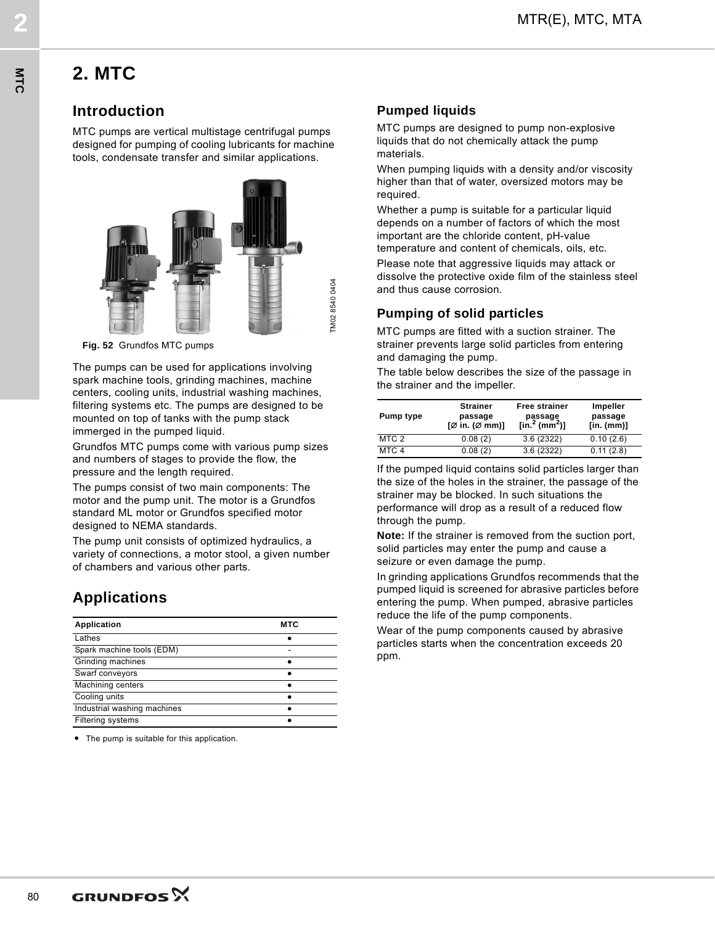# **2. MTC**

### **Introduction**

MTC pumps are vertical multistage centrifugal pumps designed for pumping of cooling lubricants for machine tools, condensate transfer and similar applications.



**Fig. 52** Grundfos MTC pumps

The pumps can be used for applications involving spark machine tools, grinding machines, machine centers, cooling units, industrial washing machines, filtering systems etc. The pumps are designed to be mounted on top of tanks with the pump stack immerged in the pumped liquid.

Grundfos MTC pumps come with various pump sizes and numbers of stages to provide the flow, the pressure and the length required.

The pumps consist of two main components: The motor and the pump unit. The motor is a Grundfos standard ML motor or Grundfos specified motor designed to NEMA standards.

The pump unit consists of optimized hydraulics, a variety of connections, a motor stool, a given number of chambers and various other parts.

## **Applications**

| <b>Application</b>          | MTC |
|-----------------------------|-----|
| Lathes                      |     |
| Spark machine tools (EDM)   |     |
| Grinding machines           |     |
| Swarf conveyors             |     |
| Machining centers           |     |
| Cooling units               |     |
| Industrial washing machines |     |
| Filtering systems           |     |

● The pump is suitable for this application.

### **Pumped liquids**

MTR(E), MTC, MTA **2**

TM02 8540 0404

M02 8540 0404

MTC pumps are designed to pump non-explosive liquids that do not chemically attack the pump materials.

When pumping liquids with a density and/or viscosity higher than that of water, oversized motors may be required.

Whether a pump is suitable for a particular liquid depends on a number of factors of which the most important are the chloride content, pH-value temperature and content of chemicals, oils, etc.

Please note that aggressive liquids may attack or dissolve the protective oxide film of the stainless steel and thus cause corrosion.

#### **Pumping of solid particles**

MTC pumps are fitted with a suction strainer. The strainer prevents large solid particles from entering and damaging the pump.

The table below describes the size of the passage in the strainer and the impeller.

| Pump type        | <b>Strainer</b><br>passage<br>[Ø in. (Ø mm)] | <b>Free strainer</b><br>passage<br>[in. <sup>2</sup> (mm <sup>2</sup> )] | Impeller<br>passage<br>$[$ in. $(mm)]$ |
|------------------|----------------------------------------------|--------------------------------------------------------------------------|----------------------------------------|
| MTC 2            | 0.08(2)                                      | 3.6(2322)                                                                | 0.10(2.6)                              |
| MTC <sub>4</sub> | 0.08(2)                                      | 3.6(2322)                                                                | 0.11(2.8)                              |

If the pumped liquid contains solid particles larger than the size of the holes in the strainer, the passage of the strainer may be blocked. In such situations the performance will drop as a result of a reduced flow through the pump.

**Note:** If the strainer is removed from the suction port, solid particles may enter the pump and cause a seizure or even damage the pump.

In grinding applications Grundfos recommends that the pumped liquid is screened for abrasive particles before entering the pump. When pumped, abrasive particles reduce the life of the pump components.

Wear of the pump components caused by abrasive particles starts when the concentration exceeds 20 ppm.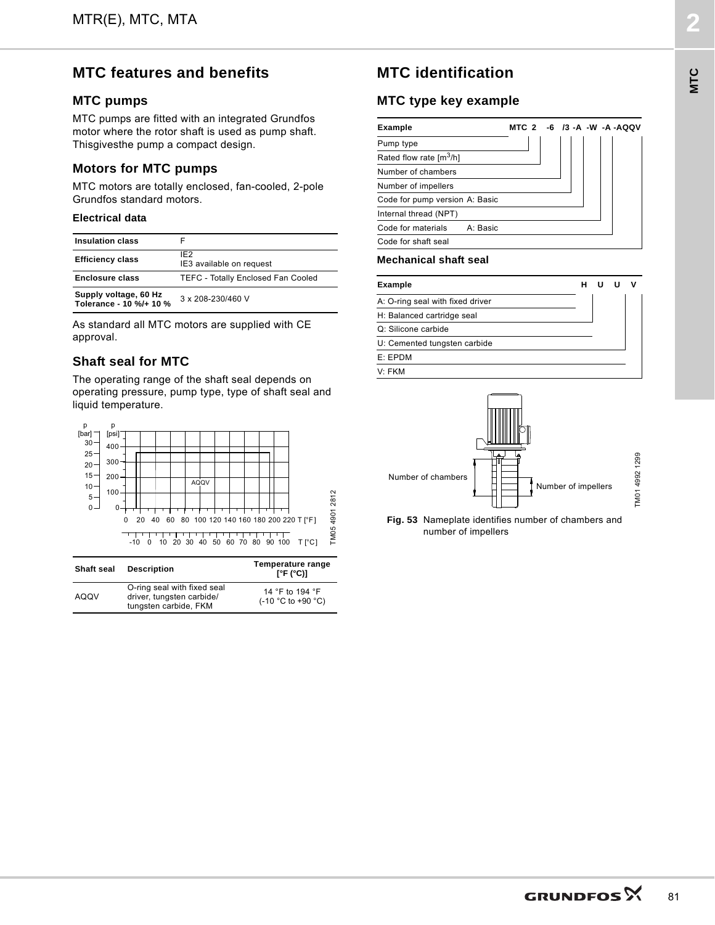### **MTC features and benefits**

#### **MTC pumps**

MTC pumps are fitted with an integrated Grundfos motor where the rotor shaft is used as pump shaft. Thisgivesthe pump a compact design.

#### **Motors for MTC pumps**

MTC motors are totally enclosed, fan-cooled, 2-pole Grundfos standard motors.

#### **Electrical data**

| <b>Insulation class</b>                          |                                             |
|--------------------------------------------------|---------------------------------------------|
| <b>Efficiency class</b>                          | IF <sub>2</sub><br>IE3 available on request |
| <b>Enclosure class</b>                           | <b>TEFC - Totally Enclosed Fan Cooled</b>   |
| Supply voltage, 60 Hz<br>Tolerance - 10 %/+ 10 % | 3 x 208-230/460 V                           |

As standard all MTC motors are supplied with CE approval.

#### **Shaft seal for MTC**

The operating range of the shaft seal depends on operating pressure, pump type, type of shaft seal and liquid temperature.



| <b>Shaft seal</b> | <b>Description</b>                                                                | Temperature range<br>$\lceil$ °F (°C)]   |
|-------------------|-----------------------------------------------------------------------------------|------------------------------------------|
| AQQV              | O-ring seal with fixed seal<br>driver, tungsten carbide/<br>tungsten carbide, FKM | 14 °F to 194 °F<br>$(-10 °C)$ to +90 °C) |

### **MTC identification**

MTR(E), MTC, MTA **2**

#### **MTC type key example**

| <b>Example</b>                         | MTC 2 -6 /3 -A -W -A -AQQV |  |  |  |
|----------------------------------------|----------------------------|--|--|--|
| Pump type                              |                            |  |  |  |
| Rated flow rate $\text{Im}^3/\text{h}$ |                            |  |  |  |
| Number of chambers                     |                            |  |  |  |
| Number of impellers                    |                            |  |  |  |
| Code for pump version A: Basic         |                            |  |  |  |
| Internal thread (NPT)                  |                            |  |  |  |
| Code for materials<br>A: Basic         |                            |  |  |  |
| Code for shaft seal                    |                            |  |  |  |

#### **Mechanical shaft seal**

| <b>Example</b>                   |  |  |  |
|----------------------------------|--|--|--|
| A: O-ring seal with fixed driver |  |  |  |
| H: Balanced cartridge seal       |  |  |  |
| Q: Silicone carbide              |  |  |  |
| U: Cemented tungsten carbide     |  |  |  |
| E: EPDM                          |  |  |  |
| V <sup>.</sup> FKM               |  |  |  |



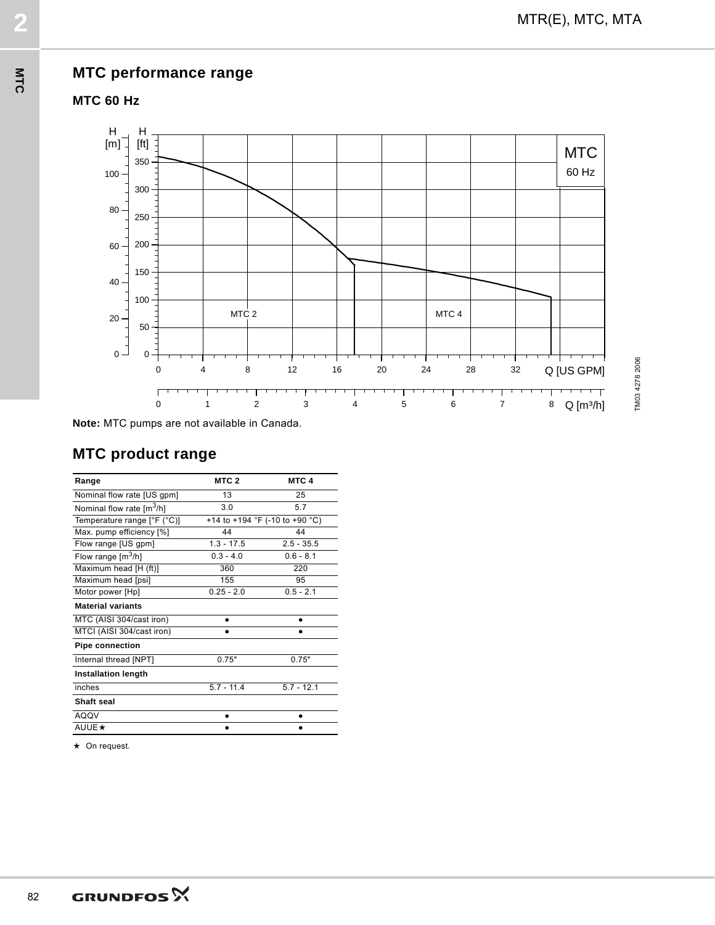



MTR(E), MTC, MTA **2**

**Note:** MTC pumps are not available in Canada.

# **MTC product range**

| Range                                 | MTC <sub>2</sub> | MTC <sub>4</sub>               |
|---------------------------------------|------------------|--------------------------------|
| Nominal flow rate [US gpm]            | 13               | 25                             |
| Nominal flow rate [m <sup>3</sup> /h] | 3.0              | 5.7                            |
| Temperature range [°F (°C)]           |                  | +14 to +194 °F (-10 to +90 °C) |
| Max. pump efficiency [%]              | 44               | 44                             |
| Flow range [US gpm]                   | $1.3 - 17.5$     | $2.5 - 35.5$                   |
| Flow range $[m^3/h]$                  | $0.3 - 4.0$      | $0.6 - 8.1$                    |
| Maximum head [H (ft)]                 | 360              | 220                            |
| Maximum head [psi]                    | 155              | 95                             |
| Motor power [Hp]                      | $0.25 - 2.0$     | $0.5 - 2.1$                    |
| <b>Material variants</b>              |                  |                                |
| MTC (AISI 304/cast iron)              | ٠                | ٠                              |
| MTCI (AISI 304/cast iron)             |                  |                                |
| <b>Pipe connection</b>                |                  |                                |
| Internal thread [NPT]                 | 0.75"            | 0.75"                          |
| <b>Installation length</b>            |                  |                                |
| inches                                | $5.7 - 11.4$     | $5.7 - 12.1$                   |
| Shaft seal                            |                  |                                |
| <b>AQQV</b>                           |                  |                                |
| <b>AUUE ★</b>                         |                  |                                |

★ On request.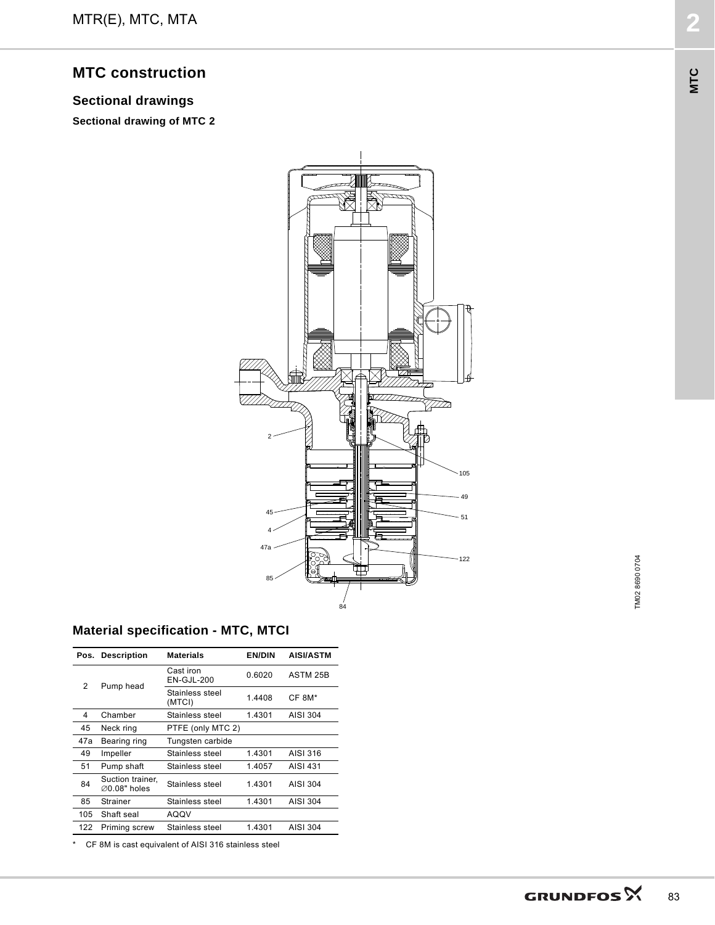### **MTC construction**

### **Sectional drawings**

**Sectional drawing of MTC 2**



MTR(E), MTC, MTA **2**

### **Material specification - MTC, MTCI**

|     | Pos. Description                              | <b>Materials</b>          | <b>EN/DIN</b> | <b>AISI/ASTM</b> |
|-----|-----------------------------------------------|---------------------------|---------------|------------------|
| 2   | Pump head                                     | Cast iron<br>EN-GJL-200   | 0.6020        | ASTM 25B         |
|     |                                               | Stainless steel<br>(MTCI) | 1.4408        | CF 8M*           |
| 4   | Chamber                                       | Stainless steel           | 1.4301        | AISI 304         |
| 45  | Neck ring                                     | PTFE (only MTC 2)         |               |                  |
| 47a | Bearing ring                                  | Tungsten carbide          |               |                  |
| 49  | Impeller                                      | Stainless steel           | 1.4301        | AISI 316         |
| 51  | Pump shaft                                    | Stainless steel           | 1.4057        | AISI 431         |
| 84  | Suction trainer.<br>$\varnothing$ 0.08" holes | Stainless steel           | 1.4301        | AISI 304         |
| 85  | Strainer                                      | Stainless steel           | 1.4301        | AISI 304         |
| 105 | Shaft seal                                    | AQQV                      |               |                  |
| 122 | Priming screw                                 | Stainless steel           | 1.4301        | AISI 304         |

\* CF 8M is cast equivalent of AISI 316 stainless steel